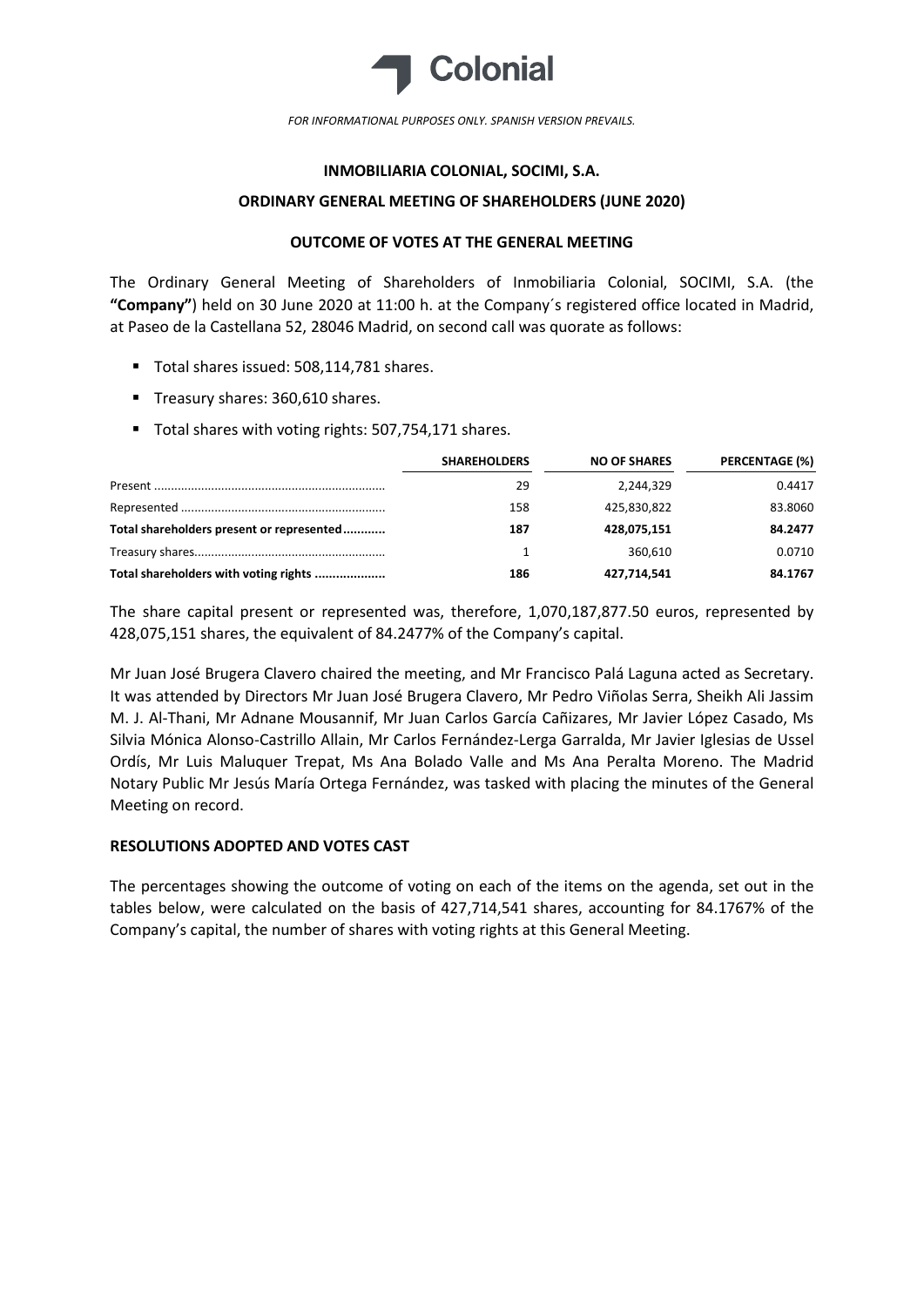

FOR INFORMATIONAL PURPOSES ONLY. SPANISH VERSION PREVAILS.

## INMOBILIARIA COLONIAL, SOCIMI, S.A.

#### ORDINARY GENERAL MEETING OF SHAREHOLDERS (JUNE 2020)

### OUTCOME OF VOTES AT THE GENERAL MEETING

The Ordinary General Meeting of Shareholders of Inmobiliaria Colonial, SOCIMI, S.A. (the "Company") held on 30 June 2020 at 11:00 h. at the Company´s registered office located in Madrid, at Paseo de la Castellana 52, 28046 Madrid, on second call was quorate as follows:

- Total shares issued: 508.114.781 shares.
- Treasury shares: 360,610 shares.
- Total shares with voting rights: 507,754,171 shares.

|                                           | <b>SHAREHOLDERS</b> | <b>NO OF SHARES</b> | <b>PERCENTAGE (%)</b> |
|-------------------------------------------|---------------------|---------------------|-----------------------|
|                                           | 29                  | 2.244.329           | 0.4417                |
|                                           | 158                 | 425.830.822         | 83.8060               |
| Total shareholders present or represented | 187                 | 428,075,151         | 84.2477               |
|                                           |                     | 360.610             | 0.0710                |
| Total shareholders with voting rights     | 186                 | 427,714,541         | 84.1767               |

The share capital present or represented was, therefore, 1,070,187,877.50 euros, represented by 428,075,151 shares, the equivalent of 84.2477% of the Company's capital.

Mr Juan José Brugera Clavero chaired the meeting, and Mr Francisco Palá Laguna acted as Secretary. It was attended by Directors Mr Juan José Brugera Clavero, Mr Pedro Viñolas Serra, Sheikh Ali Jassim M. J. Al-Thani, Mr Adnane Mousannif, Mr Juan Carlos García Cañizares, Mr Javier López Casado, Ms Silvia Mónica Alonso-Castrillo Allain, Mr Carlos Fernández-Lerga Garralda, Mr Javier Iglesias de Ussel Ordís, Mr Luis Maluquer Trepat, Ms Ana Bolado Valle and Ms Ana Peralta Moreno. The Madrid Notary Public Mr Jesús María Ortega Fernández, was tasked with placing the minutes of the General Meeting on record.

# RESOLUTIONS ADOPTED AND VOTES CAST

The percentages showing the outcome of voting on each of the items on the agenda, set out in the tables below, were calculated on the basis of 427,714,541 shares, accounting for 84.1767% of the Company's capital, the number of shares with voting rights at this General Meeting.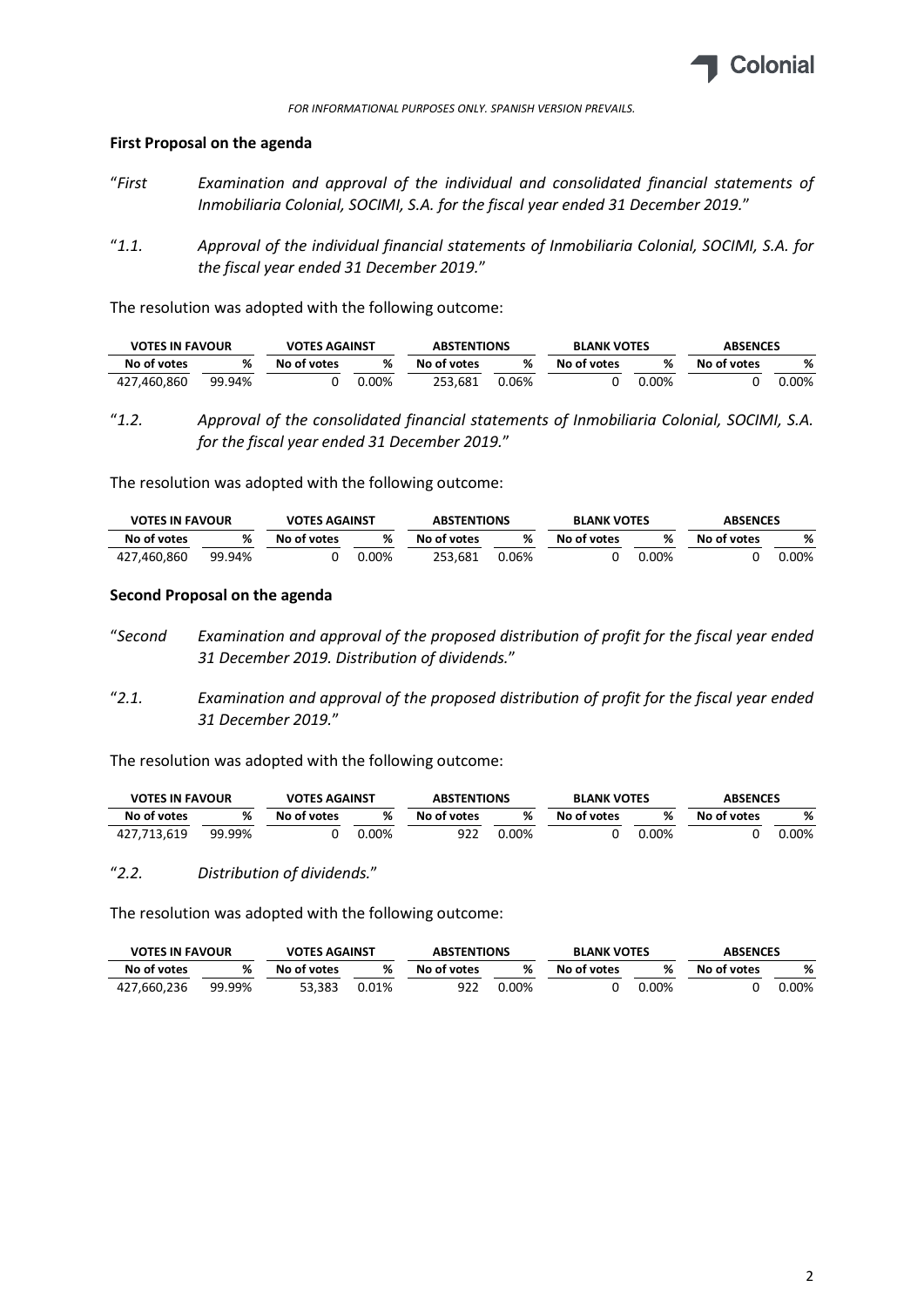

# First Proposal on the agenda

- "First Examination and approval of the individual and consolidated financial statements of Inmobiliaria Colonial, SOCIMI, S.A. for the fiscal year ended 31 December 2019."
- "1.1. Approval of the individual financial statements of Inmobiliaria Colonial, SOCIMI, S.A. for the fiscal year ended 31 December 2019."

The resolution was adopted with the following outcome:

| <b>VOTES IN FAVOUR</b> |        | <b>VOTES AGAINST</b> |          | <b>ABSTENTIONS</b> |       | <b>BLANK VOTES</b> |       | <b>ABSENCES</b> |          |
|------------------------|--------|----------------------|----------|--------------------|-------|--------------------|-------|-----------------|----------|
| No of votes            | %      | No of votes          | %        | No of votes        | %     | No of votes        | ℅     | No of votes     | %        |
| 427.460.860            | 99.94% |                      | $0.00\%$ | 253.681            | 0.06% |                    | 0.00% |                 | $0.00\%$ |

"1.2. Approval of the consolidated financial statements of Inmobiliaria Colonial, SOCIMI, S.A. for the fiscal year ended 31 December 2019."

The resolution was adopted with the following outcome:

| <b>VOTES IN FAVOUR</b> |        | <b>VOTES AGAINST</b> |          | <b>ABSTENTIONS</b> |       |             | <b>BLANK VOTES</b> |             | <b>ABSENCES</b> |
|------------------------|--------|----------------------|----------|--------------------|-------|-------------|--------------------|-------------|-----------------|
| No of votes            | %      | No of votes          | ℀        | No of votes        | %     | No of votes | ℀                  | No of votes | %               |
| 427.460.860            | 99.94% |                      | $0.00\%$ | 253.681            | 0.06% |             | 0.00%              |             | 00%،            |

#### Second Proposal on the agenda

- "Second Examination and approval of the proposed distribution of profit for the fiscal year ended 31 December 2019. Distribution of dividends."
- "2.1. Examination and approval of the proposed distribution of profit for the fiscal year ended 31 December 2019."

The resolution was adopted with the following outcome:

| <b>VOTES IN FAVOUR</b> |        | <b>VOTES AGAINST</b> |       | <b>ABSTENTIONS</b> |      | <b>BLANK VOTES</b> |          | <b>ABSENCES</b> |          |
|------------------------|--------|----------------------|-------|--------------------|------|--------------------|----------|-----------------|----------|
| No of votes            | %      | No of votes          | ℀     | No of votes        | %    | No of votes        |          | No of votes     | %        |
| 427.713.619            | 99.99% |                      | 0.00% | 922                | .00% |                    | $0.00\%$ |                 | $0.00\%$ |

"2.2. Distribution of dividends."

The resolution was adopted with the following outcome:

| <b>VOTES IN FAVOUR</b> |        | <b>VOTES AGAINST</b> |       | <b>ABSTENTIONS</b> |       | <b>BLANK VOTES</b> |       | <b>ABSENCES</b> |          |
|------------------------|--------|----------------------|-------|--------------------|-------|--------------------|-------|-----------------|----------|
| No of votes            | %      | No of votes          | %     | No of votes        | %     | No of votes        | %     | No of votes     | %        |
| 427,660,236            | 99.99% | 53.383               | 0.01% | 922                | 0.00% |                    | 0.00% |                 | $0.00\%$ |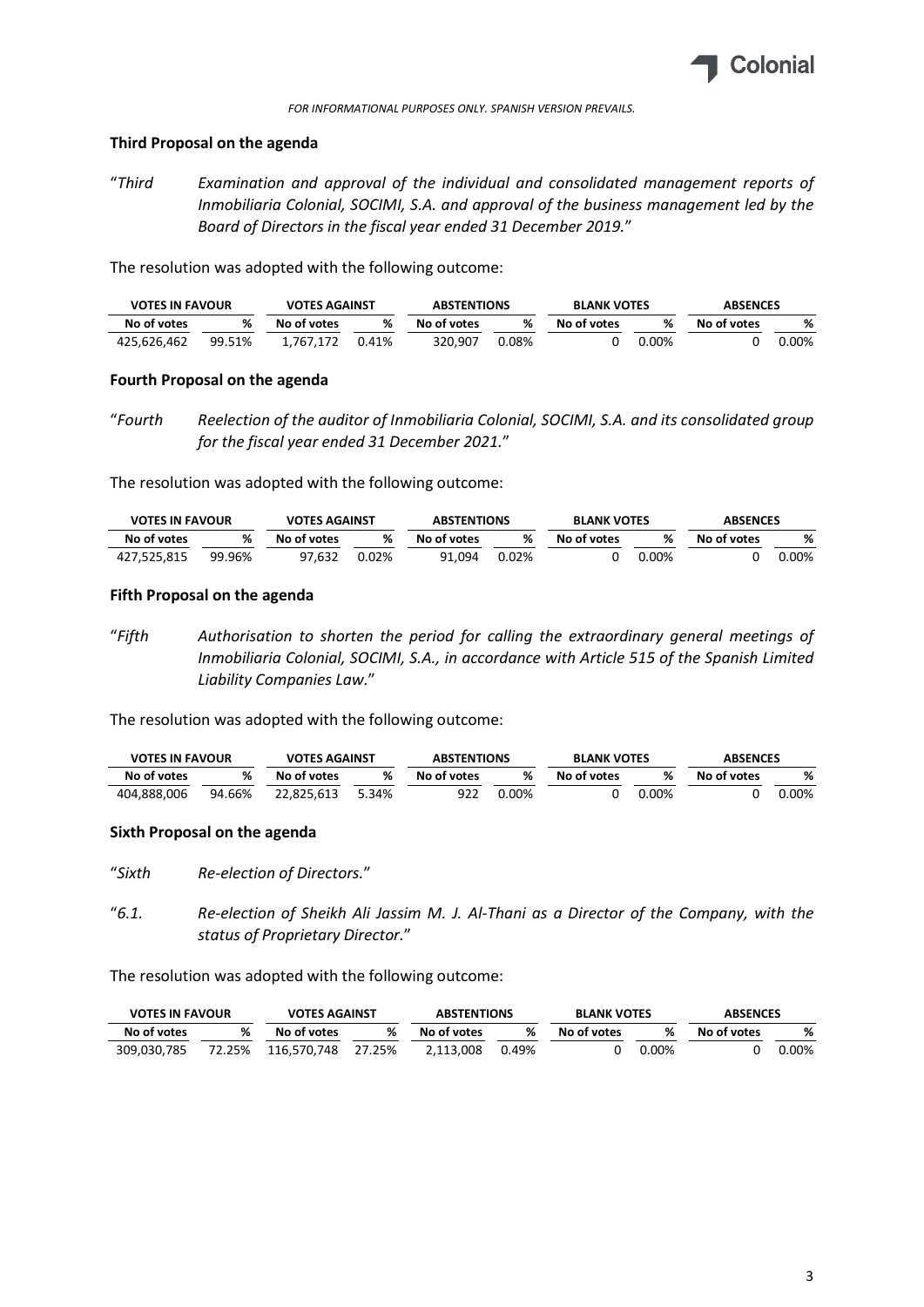

#### FOR INFORMATIONAL PURPOSES ONLY. SPANISH VERSION PREVAILS.

## Third Proposal on the agenda

"Third Examination and approval of the individual and consolidated management reports of Inmobiliaria Colonial, SOCIMI, S.A. and approval of the business management led by the Board of Directors in the fiscal year ended 31 December 2019."

The resolution was adopted with the following outcome:

| <b>VOTES IN FAVOUR</b> |        | <b>VOTES AGAINST</b> |       | <b>ABSTENTIONS</b> |       | <b>BLANK VOTES</b> | <b>ABSENCES</b> |             |       |
|------------------------|--------|----------------------|-------|--------------------|-------|--------------------|-----------------|-------------|-------|
| No of votes            | %      | No of votes          | %     | No of votes        | %     | No of votes        | %               | No of votes | %     |
| 425.626.462            | 99.51% | 1.767.172            | 0.41% | 320.907            | 0.08% |                    | $0.00\%$        |             | 0.00% |

## Fourth Proposal on the agenda

"Fourth Reelection of the auditor of Inmobiliaria Colonial, SOCIMI, S.A. and its consolidated group for the fiscal year ended 31 December 2021."

The resolution was adopted with the following outcome:

| <b>VOTES IN FAVOUR</b> |        | <b>VOTES AGAINST</b> |       | <b>ABSTENTIONS</b> |       |             | <b>BLANK VOTES</b> |             | <b>ABSENCES</b> |  |
|------------------------|--------|----------------------|-------|--------------------|-------|-------------|--------------------|-------------|-----------------|--|
| No of votes            | %      | No of votes          | ℀     | No of votes        | %     | No of votes | %                  | No of votes | %               |  |
| 427.525.815            | 99.96% | 97.632               | 0.02% | 91.094             | 0.02% |             | 0.00%              |             | .00%            |  |

## Fifth Proposal on the agenda

"Fifth Authorisation to shorten the period for calling the extraordinary general meetings of Inmobiliaria Colonial, SOCIMI, S.A., in accordance with Article 515 of the Spanish Limited Liability Companies Law."

The resolution was adopted with the following outcome:

| <b>VOTES IN FAVOUR</b> |        | <b>VOTES AGAINST</b> |       | <b>ABSTENTIONS</b> |      | <b>BLANK VOTES</b> |          | <b>ABSENCES</b> |       |
|------------------------|--------|----------------------|-------|--------------------|------|--------------------|----------|-----------------|-------|
| No of votes            | %      | No of votes          | ℀     | No of votes        | %    | No of votes        |          | No of votes     | %     |
| 404.888.006            | 94.66% | 22.825.613           | 5.34% | 922                | .00% |                    | $0.00\%$ |                 | 0.00% |

# Sixth Proposal on the agenda

"Sixth Re-election of Directors."

"6.1. Re-election of Sheikh Ali Jassim M. J. Al-Thani as a Director of the Company, with the status of Proprietary Director."

The resolution was adopted with the following outcome:

| <b>VOTES IN FAVOUR</b> |        | <b>VOTES AGAINST</b> |        | <b>ABSTENTIONS</b> |       | <b>BLANK VOTES</b> |          | <b>ABSENCES</b> |          |
|------------------------|--------|----------------------|--------|--------------------|-------|--------------------|----------|-----------------|----------|
| No of votes            |        | No of votes          | %      | No of votes        | %     | No of votes        |          | No of votes     | %        |
| 309,030,785            | 72.25% | 116.570.748          | 27.25% | 2.113.008          | 0.49% |                    | $0.00\%$ |                 | $0.00\%$ |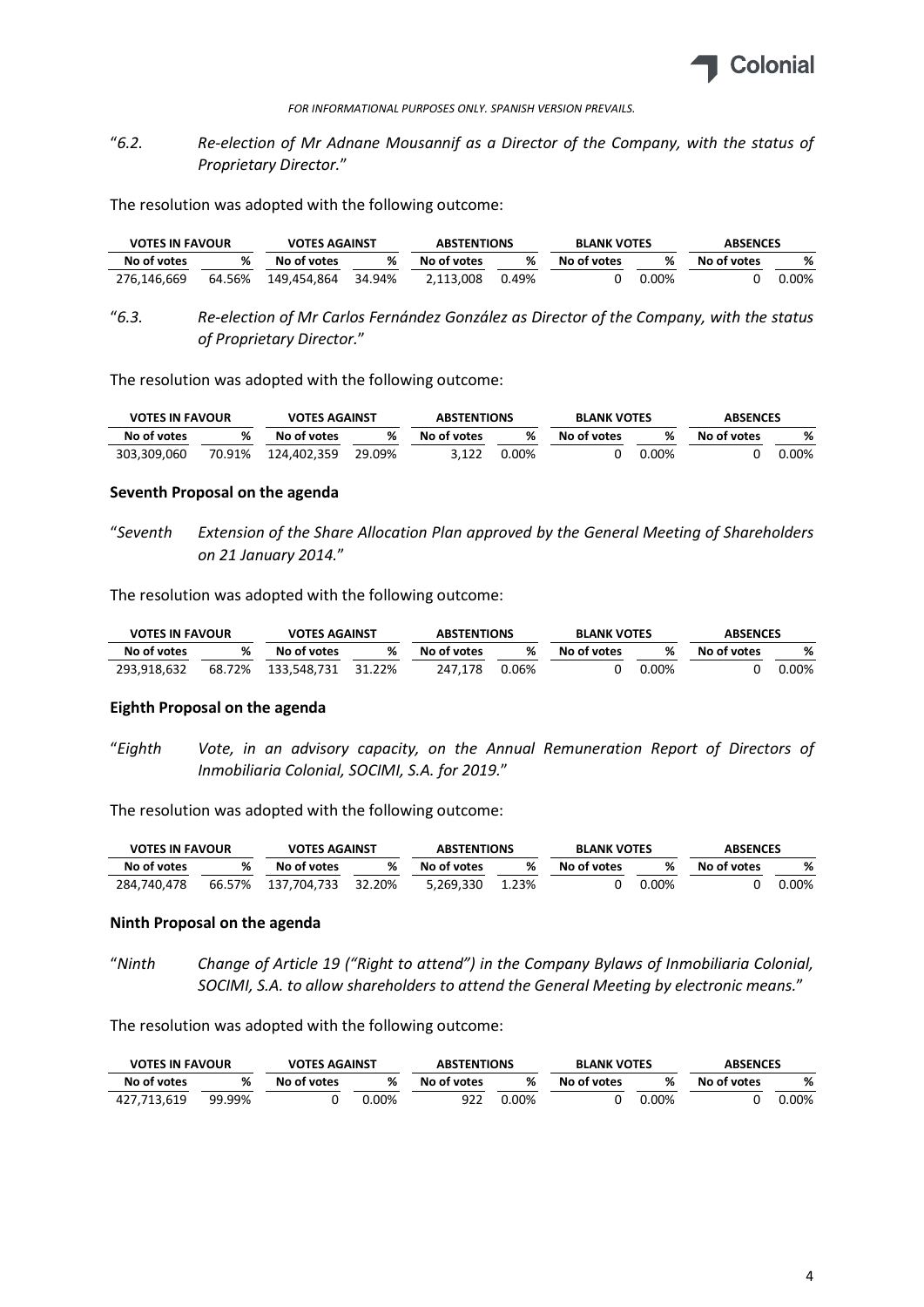

FOR INFORMATIONAL PURPOSES ONLY. SPANISH VERSION PREVAILS.

# "6.2. Re-election of Mr Adnane Mousannif as a Director of the Company, with the status of Proprietary Director."

The resolution was adopted with the following outcome:

| <b>VOTES IN FAVOUR</b> |        | <b>VOTES AGAINST</b> |        | <b>ABSTENTIONS</b> |       | <b>BLANK VOTES</b> |       |             | <b>ABSENCES</b> |  |
|------------------------|--------|----------------------|--------|--------------------|-------|--------------------|-------|-------------|-----------------|--|
| No of votes            | %      | No of votes          | %      | No of votes        | %     | No of votes        | ℀     | No of votes | %               |  |
| 276.146.669            | 64.56% | 149.454.864          | 34.94% | 2.113.008          | 0.49% |                    | 0.00% |             | 0.00%           |  |

"6.3. Re-election of Mr Carlos Fernández González as Director of the Company, with the status of Proprietary Director."

The resolution was adopted with the following outcome:

| <b>VOTES IN FAVOUR</b> |        | <b>VOTES AGAINST</b> |        | <b>ABSTENTIONS</b> |       |             | <b>BLANK VOTES</b><br><b>ABSENCES</b> |             |      |  |
|------------------------|--------|----------------------|--------|--------------------|-------|-------------|---------------------------------------|-------------|------|--|
| No of votes            | %      | No of votes          | ℅      | No of votes        | %     | No of votes |                                       | No of votes |      |  |
| 303,309,060            | 70.91% | 124,402,359          | 29.09% | 3.122              | 0.00% |             | $0.00\%$                              |             | .00% |  |

#### Seventh Proposal on the agenda

"Seventh Extension of the Share Allocation Plan approved by the General Meeting of Shareholders on 21 January 2014."

The resolution was adopted with the following outcome:

| <b>VOTES IN FAVOUR</b> |        | <b>VOTES AGAINST</b> |        | <b>ABSTENTIONS</b> |       |                  | <b>ABSENCES</b><br><b>BLANK VOTES</b> |             |         |
|------------------------|--------|----------------------|--------|--------------------|-------|------------------|---------------------------------------|-------------|---------|
| No of votes            | %      | No of votes          | %      | No of votes        | %     | ℀<br>No of votes |                                       | No of votes | %       |
| 293,918,632            | 68.72% | 133,548,731          | 31.22% | 247.178            | 0.06% |                  | $0.00\%$                              |             | $.00\%$ |

#### Eighth Proposal on the agenda

"Eighth Vote, in an advisory capacity, on the Annual Remuneration Report of Directors of Inmobiliaria Colonial, SOCIMI, S.A. for 2019."

The resolution was adopted with the following outcome:

| <b>VOTES IN FAVOUR</b> |        | <b>VOTES AGAINST</b> |        | <b>ABSTENTIONS</b> |       | <b>BLANK VOTES</b> |          | <b>ABSENCES</b> |       |
|------------------------|--------|----------------------|--------|--------------------|-------|--------------------|----------|-----------------|-------|
| No of votes            | %      | No of votes          | %      | No of votes        | %     | No of votes        | ℀        | No of votes     | %     |
| 284.740.478            | 66.57% | 137.704.733          | 32.20% | 5.269.330          | 1.23% |                    | $0.00\%$ |                 | 0.00% |

#### Ninth Proposal on the agenda

"Ninth Change of Article 19 ("Right to attend") in the Company Bylaws of Inmobiliaria Colonial, SOCIMI, S.A. to allow shareholders to attend the General Meeting by electronic means."

The resolution was adopted with the following outcome:

| <b>VOTES IN FAVOUR</b> |        | <b>VOTES AGAINST</b> |      | <b>ABSTENTIONS</b> |          | <b>BLANK VOTES</b> |          | <b>ABSENCES</b> |      |
|------------------------|--------|----------------------|------|--------------------|----------|--------------------|----------|-----------------|------|
| No of votes            | %      | No of votes          | %    | No of votes        | %        | No of votes        |          | No of votes     | %    |
| 427.713.619            | 99.99% |                      | 00%، | 922                | $0.00\%$ |                    | $0.00\%$ |                 | .00% |